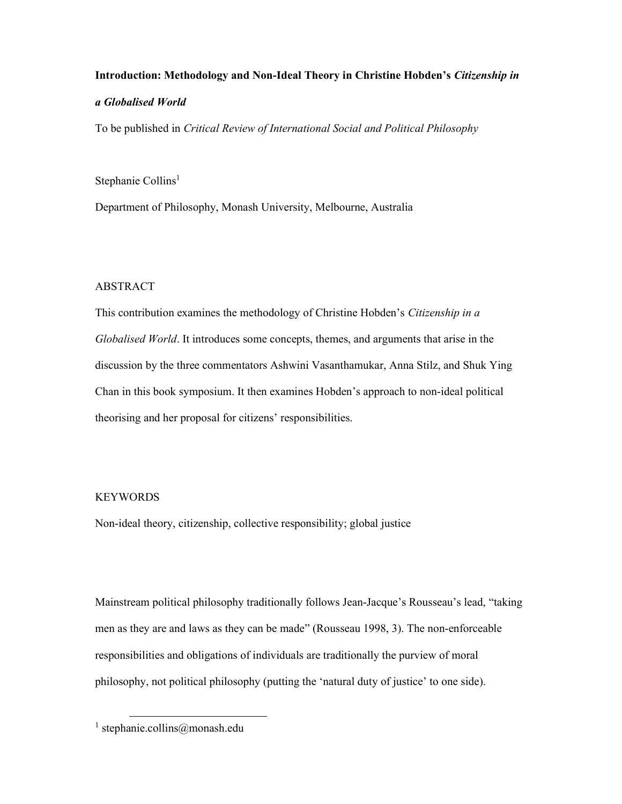# Introduction: Methodology and Non-Ideal Theory in Christine Hobden's Citizenship in a Globalised World

To be published in Critical Review of International Social and Political Philosophy

Stephanie Collins<sup>1</sup>

Department of Philosophy, Monash University, Melbourne, Australia

## ABSTRACT

This contribution examines the methodology of Christine Hobden's Citizenship in a Globalised World. It introduces some concepts, themes, and arguments that arise in the discussion by the three commentators Ashwini Vasanthamukar, Anna Stilz, and Shuk Ying Chan in this book symposium. It then examines Hobden's approach to non-ideal political theorising and her proposal for citizens' responsibilities.

# **KEYWORDS**

Non-ideal theory, citizenship, collective responsibility; global justice

Mainstream political philosophy traditionally follows Jean-Jacque's Rousseau's lead, "taking men as they are and laws as they can be made" (Rousseau 1998, 3). The non-enforceable responsibilities and obligations of individuals are traditionally the purview of moral philosophy, not political philosophy (putting the 'natural duty of justice' to one side).

<sup>1</sup> stephanie.collins@monash.edu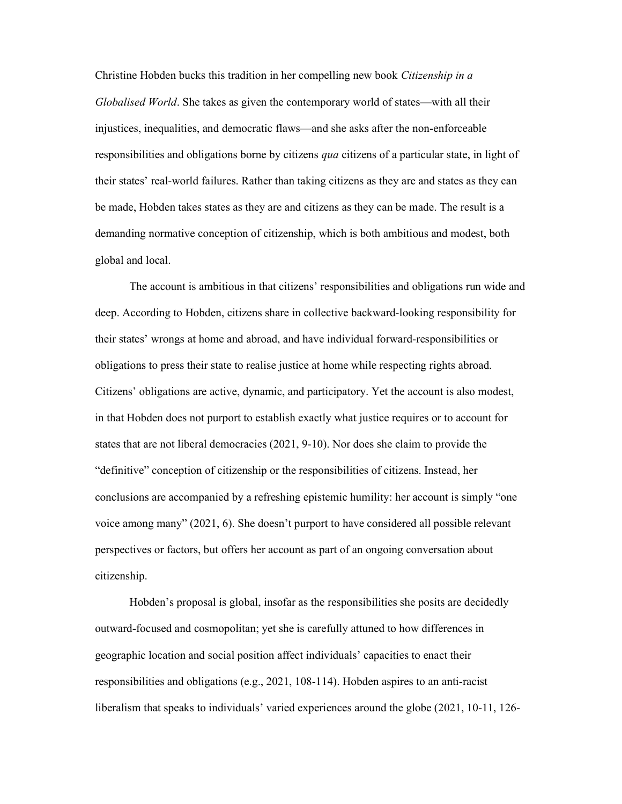Christine Hobden bucks this tradition in her compelling new book Citizenship in a Globalised World. She takes as given the contemporary world of states—with all their injustices, inequalities, and democratic flaws—and she asks after the non-enforceable responsibilities and obligations borne by citizens qua citizens of a particular state, in light of their states' real-world failures. Rather than taking citizens as they are and states as they can be made, Hobden takes states as they are and citizens as they can be made. The result is a demanding normative conception of citizenship, which is both ambitious and modest, both global and local.

 The account is ambitious in that citizens' responsibilities and obligations run wide and deep. According to Hobden, citizens share in collective backward-looking responsibility for their states' wrongs at home and abroad, and have individual forward-responsibilities or obligations to press their state to realise justice at home while respecting rights abroad. Citizens' obligations are active, dynamic, and participatory. Yet the account is also modest, in that Hobden does not purport to establish exactly what justice requires or to account for states that are not liberal democracies (2021, 9-10). Nor does she claim to provide the "definitive" conception of citizenship or the responsibilities of citizens. Instead, her conclusions are accompanied by a refreshing epistemic humility: her account is simply "one voice among many" (2021, 6). She doesn't purport to have considered all possible relevant perspectives or factors, but offers her account as part of an ongoing conversation about citizenship.

Hobden's proposal is global, insofar as the responsibilities she posits are decidedly outward-focused and cosmopolitan; yet she is carefully attuned to how differences in geographic location and social position affect individuals' capacities to enact their responsibilities and obligations (e.g., 2021, 108-114). Hobden aspires to an anti-racist liberalism that speaks to individuals' varied experiences around the globe (2021, 10-11, 126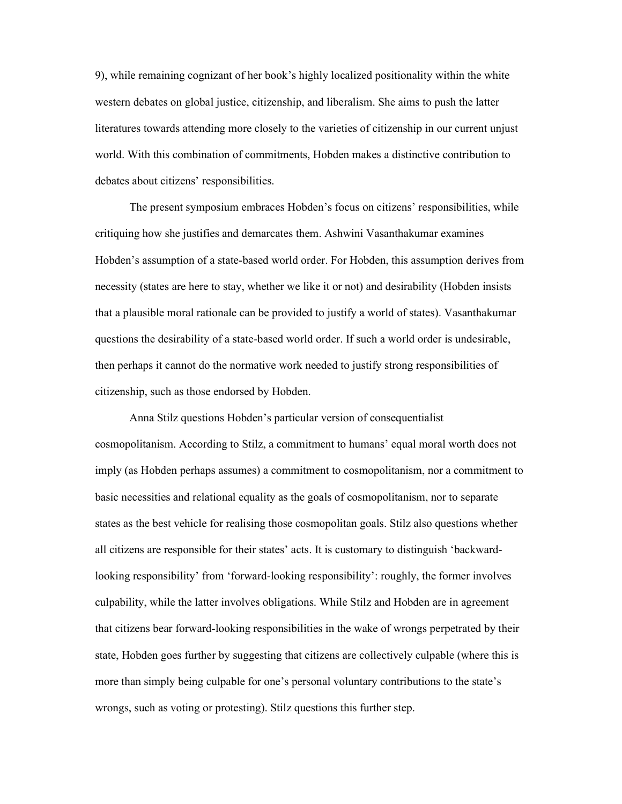9), while remaining cognizant of her book's highly localized positionality within the white western debates on global justice, citizenship, and liberalism. She aims to push the latter literatures towards attending more closely to the varieties of citizenship in our current unjust world. With this combination of commitments, Hobden makes a distinctive contribution to debates about citizens' responsibilities.

The present symposium embraces Hobden's focus on citizens' responsibilities, while critiquing how she justifies and demarcates them. Ashwini Vasanthakumar examines Hobden's assumption of a state-based world order. For Hobden, this assumption derives from necessity (states are here to stay, whether we like it or not) and desirability (Hobden insists that a plausible moral rationale can be provided to justify a world of states). Vasanthakumar questions the desirability of a state-based world order. If such a world order is undesirable, then perhaps it cannot do the normative work needed to justify strong responsibilities of citizenship, such as those endorsed by Hobden.

Anna Stilz questions Hobden's particular version of consequentialist cosmopolitanism. According to Stilz, a commitment to humans' equal moral worth does not imply (as Hobden perhaps assumes) a commitment to cosmopolitanism, nor a commitment to basic necessities and relational equality as the goals of cosmopolitanism, nor to separate states as the best vehicle for realising those cosmopolitan goals. Stilz also questions whether all citizens are responsible for their states' acts. It is customary to distinguish 'backwardlooking responsibility' from 'forward-looking responsibility': roughly, the former involves culpability, while the latter involves obligations. While Stilz and Hobden are in agreement that citizens bear forward-looking responsibilities in the wake of wrongs perpetrated by their state, Hobden goes further by suggesting that citizens are collectively culpable (where this is more than simply being culpable for one's personal voluntary contributions to the state's wrongs, such as voting or protesting). Stilz questions this further step.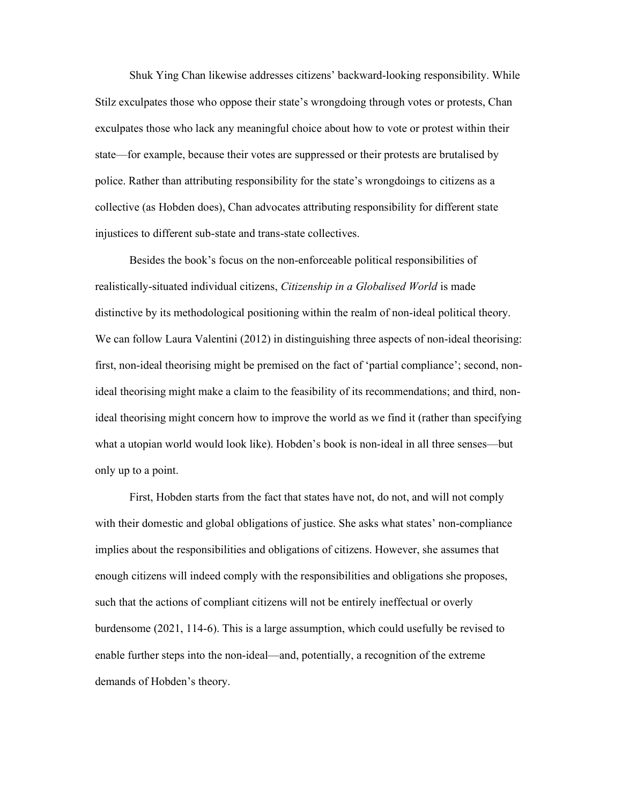Shuk Ying Chan likewise addresses citizens' backward-looking responsibility. While Stilz exculpates those who oppose their state's wrongdoing through votes or protests, Chan exculpates those who lack any meaningful choice about how to vote or protest within their state—for example, because their votes are suppressed or their protests are brutalised by police. Rather than attributing responsibility for the state's wrongdoings to citizens as a collective (as Hobden does), Chan advocates attributing responsibility for different state injustices to different sub-state and trans-state collectives.

 Besides the book's focus on the non-enforceable political responsibilities of realistically-situated individual citizens, Citizenship in a Globalised World is made distinctive by its methodological positioning within the realm of non-ideal political theory. We can follow Laura Valentini (2012) in distinguishing three aspects of non-ideal theorising: first, non-ideal theorising might be premised on the fact of 'partial compliance'; second, nonideal theorising might make a claim to the feasibility of its recommendations; and third, nonideal theorising might concern how to improve the world as we find it (rather than specifying what a utopian world would look like). Hobden's book is non-ideal in all three senses—but only up to a point.

First, Hobden starts from the fact that states have not, do not, and will not comply with their domestic and global obligations of justice. She asks what states' non-compliance implies about the responsibilities and obligations of citizens. However, she assumes that enough citizens will indeed comply with the responsibilities and obligations she proposes, such that the actions of compliant citizens will not be entirely ineffectual or overly burdensome (2021, 114-6). This is a large assumption, which could usefully be revised to enable further steps into the non-ideal—and, potentially, a recognition of the extreme demands of Hobden's theory.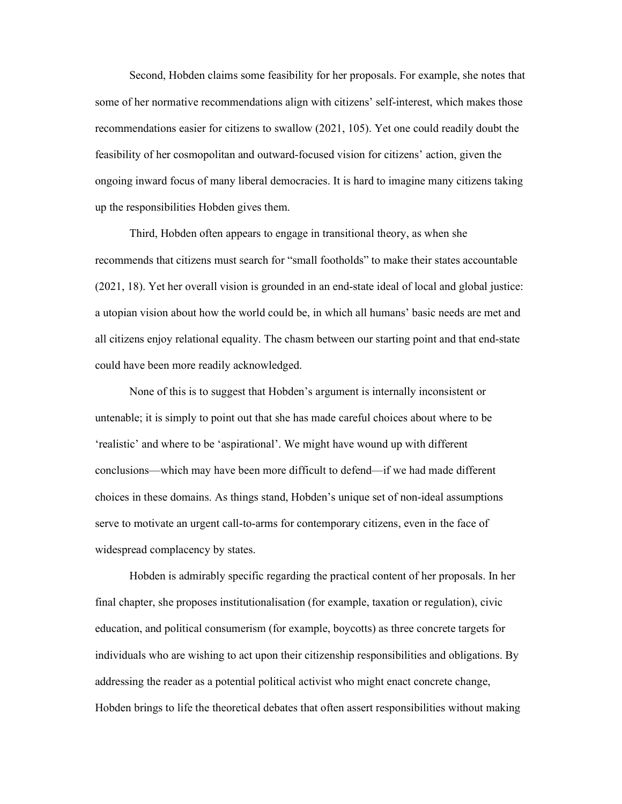Second, Hobden claims some feasibility for her proposals. For example, she notes that some of her normative recommendations align with citizens' self-interest, which makes those recommendations easier for citizens to swallow (2021, 105). Yet one could readily doubt the feasibility of her cosmopolitan and outward-focused vision for citizens' action, given the ongoing inward focus of many liberal democracies. It is hard to imagine many citizens taking up the responsibilities Hobden gives them.

Third, Hobden often appears to engage in transitional theory, as when she recommends that citizens must search for "small footholds" to make their states accountable (2021, 18). Yet her overall vision is grounded in an end-state ideal of local and global justice: a utopian vision about how the world could be, in which all humans' basic needs are met and all citizens enjoy relational equality. The chasm between our starting point and that end-state could have been more readily acknowledged.

None of this is to suggest that Hobden's argument is internally inconsistent or untenable; it is simply to point out that she has made careful choices about where to be 'realistic' and where to be 'aspirational'. We might have wound up with different conclusions—which may have been more difficult to defend—if we had made different choices in these domains. As things stand, Hobden's unique set of non-ideal assumptions serve to motivate an urgent call-to-arms for contemporary citizens, even in the face of widespread complacency by states.

Hobden is admirably specific regarding the practical content of her proposals. In her final chapter, she proposes institutionalisation (for example, taxation or regulation), civic education, and political consumerism (for example, boycotts) as three concrete targets for individuals who are wishing to act upon their citizenship responsibilities and obligations. By addressing the reader as a potential political activist who might enact concrete change, Hobden brings to life the theoretical debates that often assert responsibilities without making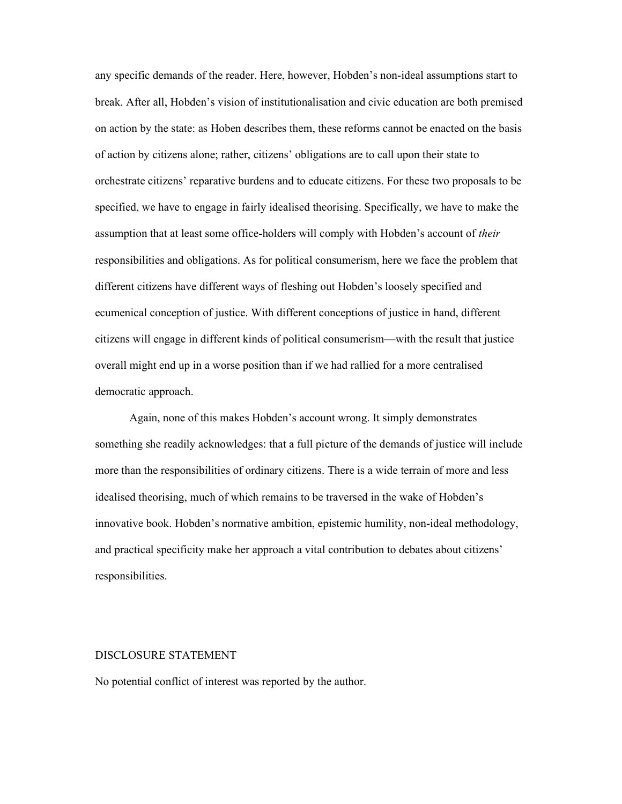any specific demands of the reader. Here, however, Hobden's non-ideal assumptions start to break. After all, Hobden's vision of institutionalisation and civic education are both premised on action by the state: as Hoben describes them, these reforms cannot be enacted on the basis of action by citizens alone; rather, citizens' obligations are to call upon their state to orchestrate citizens' reparative burdens and to educate citizens. For these two proposals to be specified, we have to engage in fairly idealised theorising. Specifically, we have to make the assumption that at least some office-holders will comply with Hobden's account of their responsibilities and obligations. As for political consumerism, here we face the problem that different citizens have different ways of fleshing out Hobden's loosely specified and ecumenical conception of justice. With different conceptions of justice in hand, different citizens will engage in different kinds of political consumerism—with the result that justice overall might end up in a worse position than if we had rallied for a more centralised democratic approach.

Again, none of this makes Hobden's account wrong. It simply demonstrates something she readily acknowledges: that a full picture of the demands of justice will include more than the responsibilities of ordinary citizens. There is a wide terrain of more and less idealised theorising, much of which remains to be traversed in the wake of Hobden's innovative book. Hobden's normative ambition, epistemic humility, non-ideal methodology, and practical specificity make her approach a vital contribution to debates about citizens' responsibilities.

#### DISCLOSURE STATEMENT

No potential conflict of interest was reported by the author.